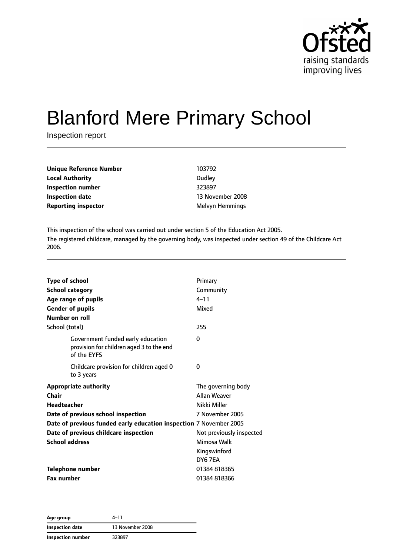

# Blanford Mere Primary School

Inspection report

| Unique Reference Number    | 103792                 |
|----------------------------|------------------------|
| <b>Local Authority</b>     | Dudley                 |
| Inspection number          | 323897                 |
| <b>Inspection date</b>     | 13 November 2008       |
| <b>Reporting inspector</b> | <b>Melvyn Hemmings</b> |

This inspection of the school was carried out under section 5 of the Education Act 2005. The registered childcare, managed by the governing body, was inspected under section 49 of the Childcare Act 2006.

| <b>Type of school</b><br><b>School category</b><br>Age range of pupils<br><b>Gender of pupils</b><br>Number on roll                                                                                              | Primary<br>Community<br>$4 - 11$<br>Mixed                                                                |
|------------------------------------------------------------------------------------------------------------------------------------------------------------------------------------------------------------------|----------------------------------------------------------------------------------------------------------|
| School (total)                                                                                                                                                                                                   | 255                                                                                                      |
| Government funded early education<br>provision for children aged 3 to the end<br>of the EYFS                                                                                                                     | 0                                                                                                        |
| Childcare provision for children aged 0<br>to 3 years                                                                                                                                                            | 0                                                                                                        |
| <b>Appropriate authority</b><br>Chair<br><b>Headteacher</b><br>Date of previous school inspection<br>Date of previous funded early education inspection 7 November 2005<br>Date of previous childcare inspection | The governing body<br><b>Allan Weaver</b><br>Nikki Miller<br>7 November 2005<br>Not previously inspected |
| <b>School address</b>                                                                                                                                                                                            | Mimosa Walk<br>Kingswinford<br>DY6 7FA                                                                   |
| <b>Telephone number</b>                                                                                                                                                                                          | 01384 818365                                                                                             |
| <b>Fax number</b>                                                                                                                                                                                                | 01384818366                                                                                              |

**Age group** 4–11 **Inspection date** 13 November 2008 **Inspection number** 323897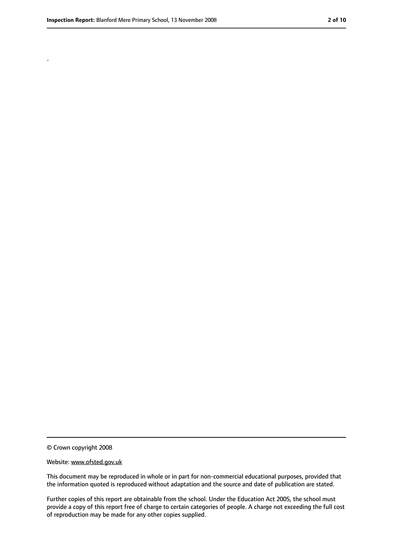.

<sup>©</sup> Crown copyright 2008

Website: www.ofsted.gov.uk

This document may be reproduced in whole or in part for non-commercial educational purposes, provided that the information quoted is reproduced without adaptation and the source and date of publication are stated.

Further copies of this report are obtainable from the school. Under the Education Act 2005, the school must provide a copy of this report free of charge to certain categories of people. A charge not exceeding the full cost of reproduction may be made for any other copies supplied.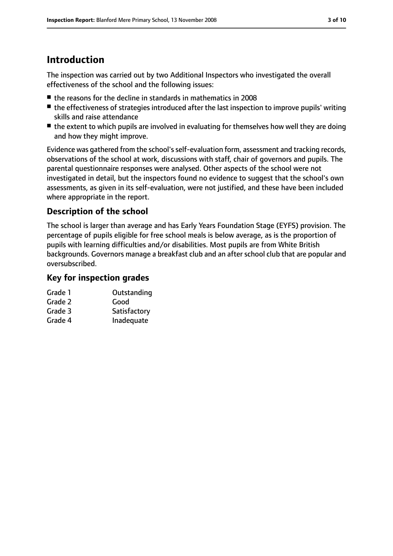## **Introduction**

The inspection was carried out by two Additional Inspectors who investigated the overall effectiveness of the school and the following issues:

- the reasons for the decline in standards in mathematics in 2008
- the effectiveness of strategies introduced after the last inspection to improve pupils' writing skills and raise attendance
- the extent to which pupils are involved in evaluating for themselves how well they are doing and how they might improve.

Evidence was gathered from the school'sself-evaluation form, assessment and tracking records, observations of the school at work, discussions with staff, chair of governors and pupils. The parental questionnaire responses were analysed. Other aspects of the school were not investigated in detail, but the inspectors found no evidence to suggest that the school's own assessments, as given in its self-evaluation, were not justified, and these have been included where appropriate in the report.

#### **Description of the school**

The school is larger than average and has Early Years Foundation Stage (EYFS) provision. The percentage of pupils eligible for free school meals is below average, as is the proportion of pupils with learning difficulties and/or disabilities. Most pupils are from White British backgrounds. Governors manage a breakfast club and an after school club that are popular and oversubscribed.

#### **Key for inspection grades**

| Grade 1 | Outstanding  |
|---------|--------------|
| Grade 2 | Good         |
| Grade 3 | Satisfactory |
|         |              |

Grade 4 Inadequate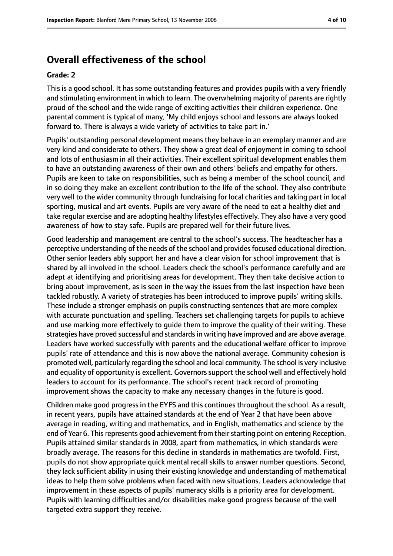### **Overall effectiveness of the school**

#### **Grade: 2**

This is a good school. It has some outstanding features and provides pupils with a very friendly and stimulating environment in which to learn. The overwhelming majority of parents are rightly proud of the school and the wide range of exciting activities their children experience. One parental comment is typical of many, 'My child enjoys school and lessons are always looked forward to. There is always a wide variety of activities to take part in.'

Pupils' outstanding personal development means they behave in an exemplary manner and are very kind and considerate to others. They show a great deal of enjoyment in coming to school and lots of enthusiasm in all their activities. Their excellent spiritual development enables them to have an outstanding awareness of their own and others' beliefs and empathy for others. Pupils are keen to take on responsibilities, such as being a member of the school council, and in so doing they make an excellent contribution to the life of the school. They also contribute very well to the wider community through fundraising for local charities and taking part in local sporting, musical and art events. Pupils are very aware of the need to eat a healthy diet and take regular exercise and are adopting healthy lifestyles effectively. They also have a very good awareness of how to stay safe. Pupils are prepared well for their future lives.

Good leadership and management are central to the school's success. The headteacher has a perceptive understanding of the needs of the school and provides focused educational direction. Other senior leaders ably support her and have a clear vision for school improvement that is shared by all involved in the school. Leaders check the school's performance carefully and are adept at identifying and prioritising areas for development. They then take decisive action to bring about improvement, as is seen in the way the issues from the last inspection have been tackled robustly. A variety of strategies has been introduced to improve pupils' writing skills. These include a stronger emphasis on pupils constructing sentences that are more complex with accurate punctuation and spelling. Teachers set challenging targets for pupils to achieve and use marking more effectively to guide them to improve the quality of their writing. These strategies have proved successful and standardsin writing have improved and are above average. Leaders have worked successfully with parents and the educational welfare officer to improve pupils' rate of attendance and this is now above the national average. Community cohesion is promoted well, particularly regarding the school and local community. The school is very inclusive and equality of opportunity is excellent. Governors support the school well and effectively hold leaders to account for its performance. The school's recent track record of promoting improvement shows the capacity to make any necessary changes in the future is good.

Children make good progressin the EYFS and this continuesthroughout the school. As a result, in recent years, pupils have attained standards at the end of Year 2 that have been above average in reading, writing and mathematics, and in English, mathematics and science by the end of Year 6. This represents good achievement from their starting point on entering Reception. Pupils attained similar standards in 2008, apart from mathematics, in which standards were broadly average. The reasons for this decline in standards in mathematics are twofold. First, pupils do not show appropriate quick mental recall skills to answer number questions. Second, they lack sufficient ability in using their existing knowledge and understanding of mathematical ideas to help them solve problems when faced with new situations. Leaders acknowledge that improvement in these aspects of pupils' numeracy skills is a priority area for development. Pupils with learning difficulties and/or disabilities make good progress because of the well targeted extra support they receive.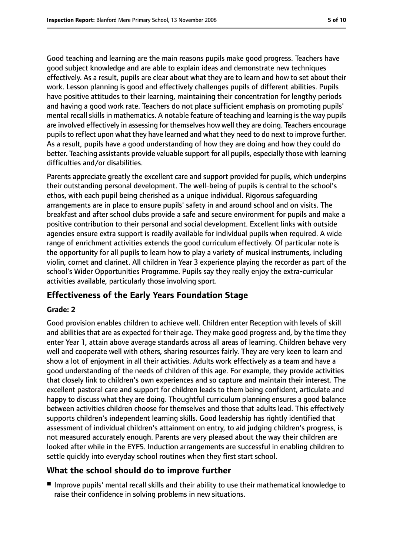Good teaching and learning are the main reasons pupils make good progress. Teachers have good subject knowledge and are able to explain ideas and demonstrate new techniques effectively. As a result, pupils are clear about what they are to learn and how to set about their work. Lesson planning is good and effectively challenges pupils of different abilities. Pupils have positive attitudes to their learning, maintaining their concentration for lengthy periods and having a good work rate. Teachers do not place sufficient emphasis on promoting pupils' mental recall skills in mathematics. A notable feature of teaching and learning is the way pupils are involved effectively in assessing for themselves how well they are doing. Teachers encourage pupils to reflect upon what they have learned and what they need to do next to improve further. As a result, pupils have a good understanding of how they are doing and how they could do better. Teaching assistants provide valuable support for all pupils, especially those with learning difficulties and/or disabilities.

Parents appreciate greatly the excellent care and support provided for pupils, which underpins their outstanding personal development. The well-being of pupils is central to the school's ethos, with each pupil being cherished as a unique individual. Rigorous safeguarding arrangements are in place to ensure pupils' safety in and around school and on visits. The breakfast and after school clubs provide a safe and secure environment for pupils and make a positive contribution to their personal and social development. Excellent links with outside agencies ensure extra support is readily available for individual pupils when required. A wide range of enrichment activities extends the good curriculum effectively. Of particular note is the opportunity for all pupils to learn how to play a variety of musical instruments, including violin, cornet and clarinet. All children in Year 3 experience playing the recorder as part of the school's Wider Opportunities Programme. Pupils say they really enjoy the extra-curricular activities available, particularly those involving sport.

#### **Effectiveness of the Early Years Foundation Stage**

#### **Grade: 2**

Good provision enables children to achieve well. Children enter Reception with levels of skill and abilities that are as expected for their age. They make good progress and, by the time they enter Year 1, attain above average standards across all areas of learning. Children behave very well and cooperate well with others, sharing resources fairly. They are very keen to learn and show a lot of enjoyment in all their activities. Adults work effectively as a team and have a good understanding of the needs of children of this age. For example, they provide activities that closely link to children's own experiences and so capture and maintain their interest. The excellent pastoral care and support for children leads to them being confident, articulate and happy to discuss what they are doing. Thoughtful curriculum planning ensures a good balance between activities children choose for themselves and those that adults lead. This effectively supports children's independent learning skills. Good leadership has rightly identified that assessment of individual children's attainment on entry, to aid judging children's progress, is not measured accurately enough. Parents are very pleased about the way their children are looked after while in the EYFS. Induction arrangements are successful in enabling children to settle quickly into everyday school routines when they first start school.

#### **What the school should do to improve further**

■ Improve pupils' mental recall skills and their ability to use their mathematical knowledge to raise their confidence in solving problems in new situations.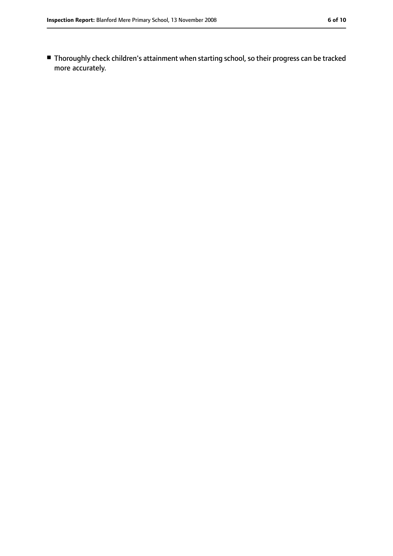■ Thoroughly check children's attainment when starting school, so their progress can be tracked more accurately.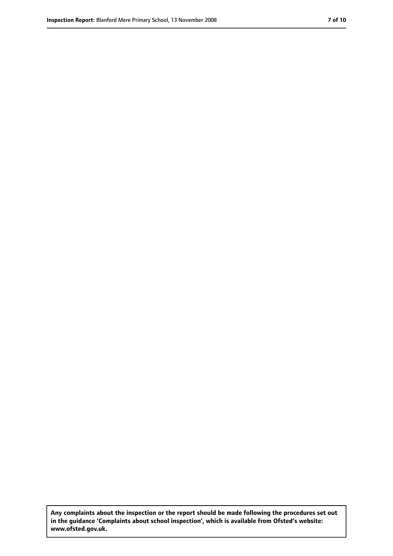**Any complaints about the inspection or the report should be made following the procedures set out in the guidance 'Complaints about school inspection', which is available from Ofsted's website: www.ofsted.gov.uk.**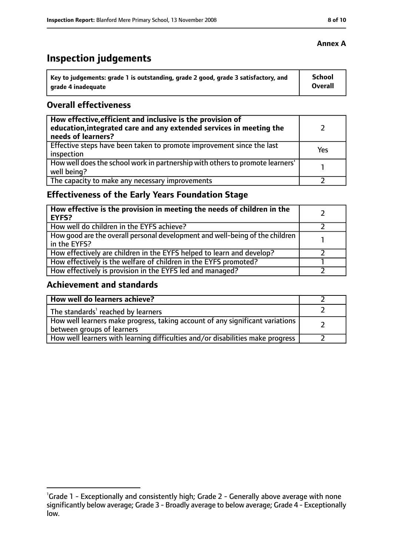# **Inspection judgements**

| Key to judgements: grade 1 is outstanding, grade 2 good, grade 3 satisfactory, and | <b>School</b>  |
|------------------------------------------------------------------------------------|----------------|
| arade 4 inadequate                                                                 | <b>Overall</b> |

#### **Overall effectiveness**

| How effective, efficient and inclusive is the provision of<br>education, integrated care and any extended services in meeting the<br>needs of learners? |     |
|---------------------------------------------------------------------------------------------------------------------------------------------------------|-----|
| Effective steps have been taken to promote improvement since the last<br>inspection                                                                     | Yes |
| How well does the school work in partnership with others to promote learners'<br>well being?                                                            |     |
| The capacity to make any necessary improvements                                                                                                         |     |

### **Effectiveness of the Early Years Foundation Stage**

| How effective is the provision in meeting the needs of children in the<br><b>EYFS?</b>       |  |
|----------------------------------------------------------------------------------------------|--|
| How well do children in the EYFS achieve?                                                    |  |
| How good are the overall personal development and well-being of the children<br>in the EYFS? |  |
| How effectively are children in the EYFS helped to learn and develop?                        |  |
| How effectively is the welfare of children in the EYFS promoted?                             |  |
| How effectively is provision in the EYFS led and managed?                                    |  |

#### **Achievement and standards**

| How well do learners achieve?                                                                               |  |
|-------------------------------------------------------------------------------------------------------------|--|
| The standards <sup>1</sup> reached by learners                                                              |  |
| How well learners make progress, taking account of any significant variations<br>between groups of learners |  |
| How well learners with learning difficulties and/or disabilities make progress                              |  |

#### **Annex A**

<sup>&</sup>lt;sup>1</sup>Grade 1 - Exceptionally and consistently high; Grade 2 - Generally above average with none significantly below average; Grade 3 - Broadly average to below average; Grade 4 - Exceptionally low.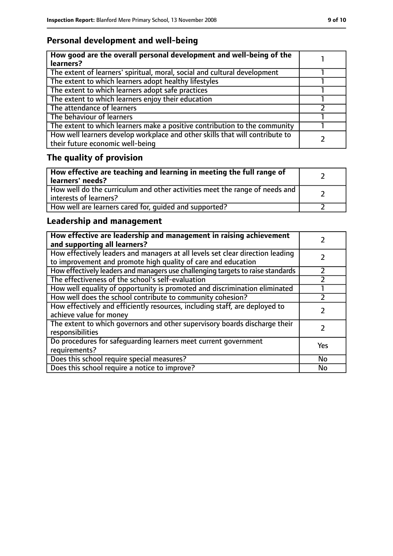### **Personal development and well-being**

| How good are the overall personal development and well-being of the<br>learners?                                 |  |
|------------------------------------------------------------------------------------------------------------------|--|
| The extent of learners' spiritual, moral, social and cultural development                                        |  |
| The extent to which learners adopt healthy lifestyles                                                            |  |
| The extent to which learners adopt safe practices                                                                |  |
| The extent to which learners enjoy their education                                                               |  |
| The attendance of learners                                                                                       |  |
| The behaviour of learners                                                                                        |  |
| The extent to which learners make a positive contribution to the community                                       |  |
| How well learners develop workplace and other skills that will contribute to<br>their future economic well-being |  |

# **The quality of provision**

| How effective are teaching and learning in meeting the full range of<br>learners' needs?              |  |
|-------------------------------------------------------------------------------------------------------|--|
| How well do the curriculum and other activities meet the range of needs and<br>interests of learners? |  |
| How well are learners cared for, quided and supported?                                                |  |

### **Leadership and management**

| How effective are leadership and management in raising achievement<br>and supporting all learners?                                              |     |
|-------------------------------------------------------------------------------------------------------------------------------------------------|-----|
| How effectively leaders and managers at all levels set clear direction leading<br>to improvement and promote high quality of care and education |     |
| How effectively leaders and managers use challenging targets to raise standards                                                                 |     |
| The effectiveness of the school's self-evaluation                                                                                               |     |
| How well equality of opportunity is promoted and discrimination eliminated                                                                      |     |
| How well does the school contribute to community cohesion?                                                                                      |     |
| How effectively and efficiently resources, including staff, are deployed to<br>achieve value for money                                          |     |
| The extent to which governors and other supervisory boards discharge their<br>responsibilities                                                  |     |
| Do procedures for safequarding learners meet current government<br>requirements?                                                                | Yes |
| Does this school require special measures?                                                                                                      | No  |
| Does this school require a notice to improve?                                                                                                   | No  |